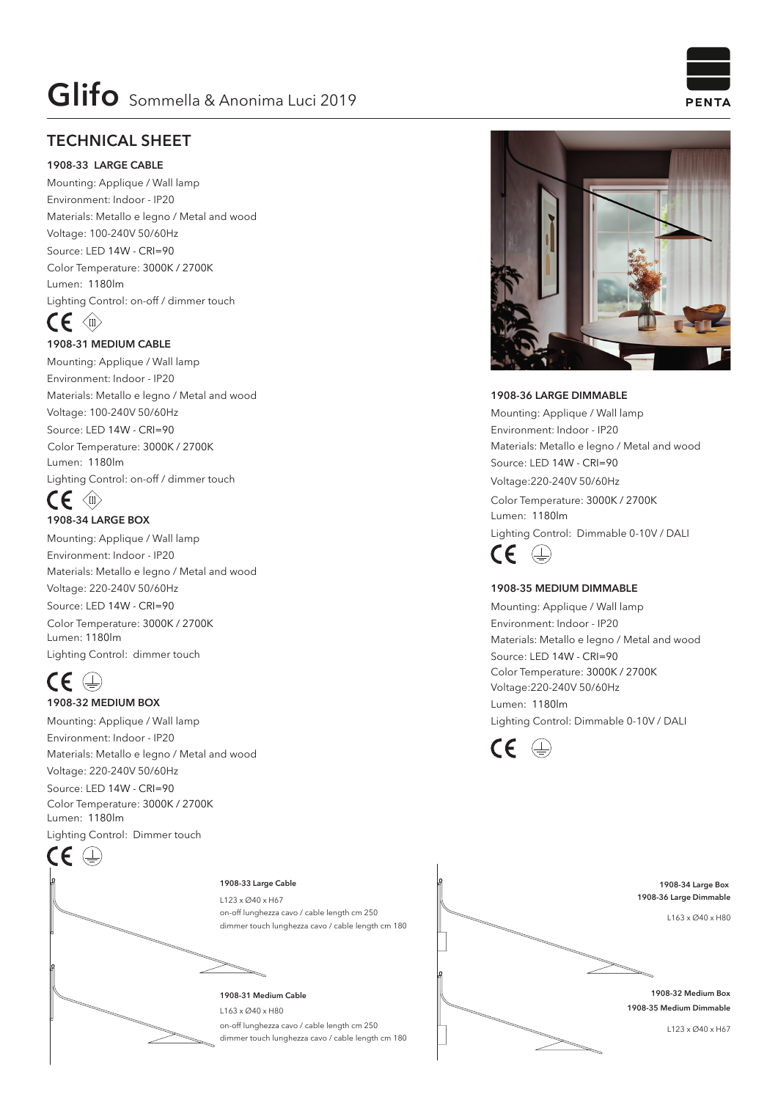## **TECHNICAL SHEET**

#### **1908-33 LARGE CABLE**

Mounting: Applique / Wall lamp Environment: Indoor - IP20 Materials: Metallo e legno / Metal and wood Voltage: 100-240V 50/60Hz Source: LED 14W - CRI=90 Lumen: 1180lm Lighting Control: on-off / dimmer touch Color Temperature: 3000K / 2700K

# $CE \Leftrightarrow$

#### **1908-31 MEDIUM CABLE**

Mounting: Applique / Wall lamp Environment: Indoor - IP20 Materials: Metallo e legno / Metal and wood Voltage: 100-240V 50/60Hz Source: LED 14W - CRI=90 Lumen: 1180lm Lighting Control: on-off / dimmer touch Color Temperature: 3000K / 2700K

### $\mathsf{CE} \triangleleft\mathbb{R}$ **1908-34 LARGE BOX**

Mounting: Applique / Wall lamp Environment: Indoor - IP20 Materials: Metallo e legno / Metal and wood Voltage: 220-240V 50/60Hz Source: LED 14W - CRI=90 Lumen: 1180lm Lighting Control: dimmer touch Color Temperature: 3000K / 2700K

# $CE \oplus$

#### **1908-32 MEDIUM BOX**

Mounting: Applique / Wall lamp Environment: Indoor - IP20 Materials: Metallo e legno / Metal and wood Voltage: 220-240V 50/60Hz

Source: LED 14W - CRI=90 Lumen: 1180lm Lighting Control: Dimmer touch Color Temperature: 3000K / 2700K



on-off lunghezza cavo / cable length cm 250 dimmer touch lunghezza cavo / cable length cm 180

on-off lunghezza cavo / cable length cm 250 dimmer touch lunghezza cavo / cable length cm 180



Lumen: 1180lm Lighting Control: Dimmable 0-10V / DALI Color Temperature: 3000K / 2700K



#### **1908-35 MEDIUM DIMMABLE**

Mounting: Applique / Wall lamp Environment: Indoor - IP20 Materials: Metallo e legno / Metal and wood Source: LED 14W - CRI=90 Lumen: 1180lm Lighting Control: Dimmable 0-10V / DALI Color Temperature: 3000K / 2700K Voltage:220-240V 50/60Hz





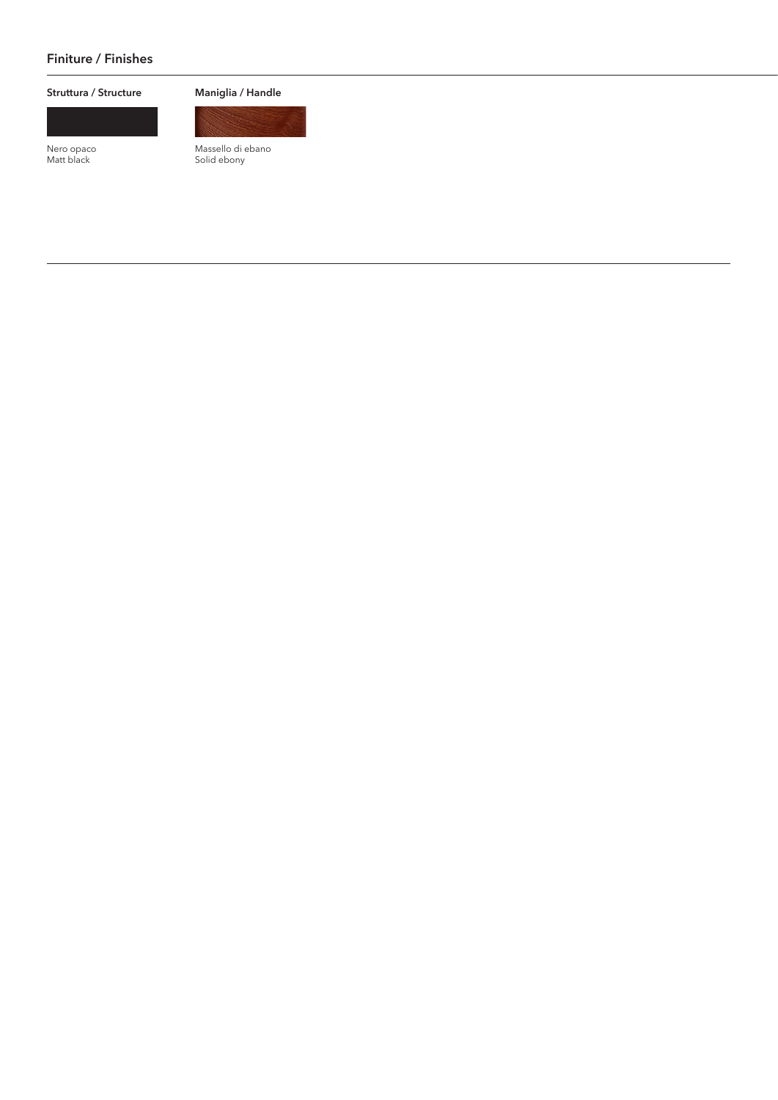#### **Finiture / Finishes**

#### **Struttura / Structure**

Nero opaco Matt black

**Maniglia / Handle**



Massello di ebano Solid ebony